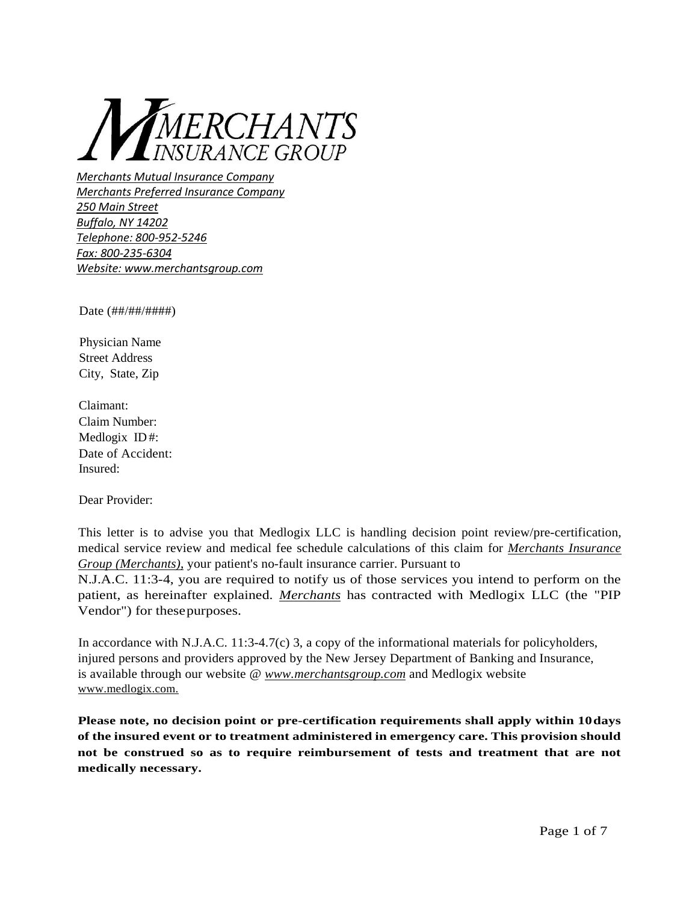

*Merchants Mutual Insurance Company Merchants Preferred Insurance Company 250 Main Street Buffalo, NY 14202 Telephone: 800-952-5246 Fax: 800-235-6304 Website: [www.merchantsgroup.com](http://www.merchantsgroup.com/)*

Date (##/##/####)

Physician Name Street Address City, State, Zip

Claimant: Claim Number: Medlogix ID #: Date of Accident: Insured:

Dear Provider:

This letter is to advise you that Medlogix LLC is handling decision point review/pre-certification, medical service review and medical fee schedule calculations of this claim for *Merchants Insurance Group (Merchants)*, your patient's no-fault insurance carrier. Pursuant to

N.J.A.C. 11:3-4, you are required to notify us of those services you intend to perform on the patient, as hereinafter explained. *Merchants* has contracted with Medlogix LLC (the "PIP Vendor") for thesepurposes.

In accordance with N.J.A.C. 11:3-4.7(c) 3, a copy of the informational materials for policyholders, injured persons and providers approved by the New Jersey Department of Banking and Insurance, is available through our website @ *[www.merchantsgroup.com](http://www.merchantsgroup.com/)* and Medlogix website www.medlogix.com.

**Please note, no decision point or pre-certification requirements shall apply within 10days of the insured event or to treatment administered in emergency care. This provision should not be construed so as to require reimbursement of tests and treatment that are not medically necessary.**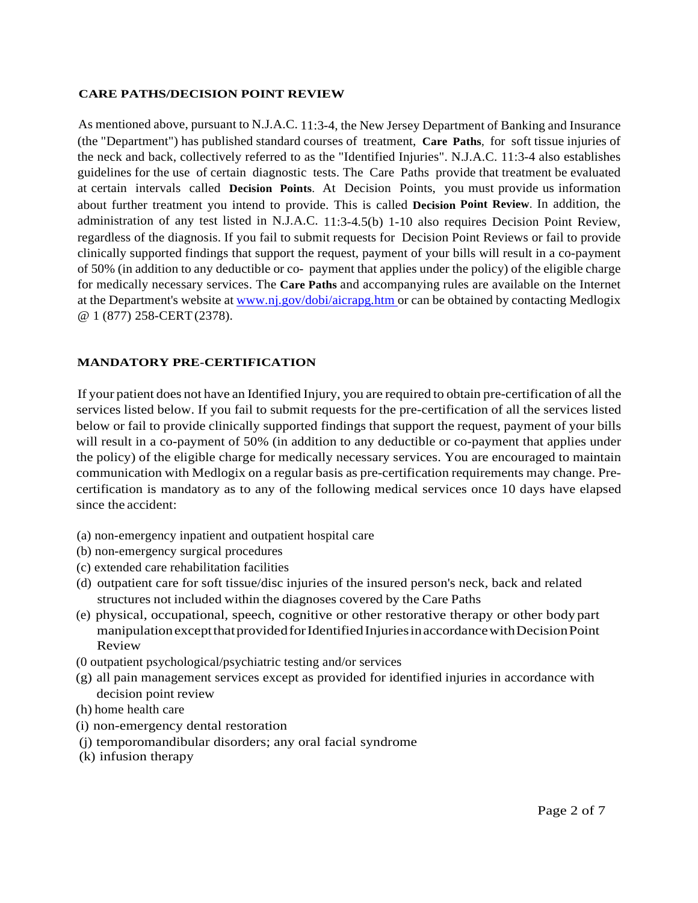#### **CARE PATHS/DECISION POINT REVIEW**

As mentioned above, pursuant to N.J.A.C. 11:3-4, the New Jersey Department of Banking and Insurance (the "Department") has published standard courses of treatment, **Care Paths**, for soft tissue injuries of the neck and back, collectively referred to as the "Identified Injuries". N.J.A.C. 11:3-4 also establishes guidelines for the use of certain diagnostic tests. The Care Paths provide that treatment be evaluated at certain intervals called **Decision Points**. At Decision Points, you must provide us information about further treatment you intend to provide. This is called **Decision Point Review**. In addition, the administration of any test listed in N.J.A.C. 11:3-4.5(b) 1-10 also requires Decision Point Review, regardless of the diagnosis. If you fail to submit requests for Decision Point Reviews or fail to provide clinically supported findings that support the request, payment of your bills will result in a co-payment of 50% (in addition to any deductible or co- payment that applies under the policy) of the eligible charge for medically necessary services. The **Care Paths** and accompanying rules are available on the Internet at the Department's website at [www.nj.gov/dobi/aicrapg.htm o](http://www.nj.gov/dobi/aicrapg.htm)r can be obtained by contacting Medlogix @ 1 (877) 258-CERT(2378).

#### **MANDATORY PRE-CERTIFICATION**

If your patient does not have an Identified Injury, you are required to obtain pre-certification of all the services listed below. If you fail to submit requests for the pre-certification of all the services listed below or fail to provide clinically supported findings that support the request, payment of your bills will result in a co-payment of 50% (in addition to any deductible or co-payment that applies under the policy) of the eligible charge for medically necessary services. You are encouraged to maintain communication with Medlogix on a regular basis as pre-certification requirements may change. Precertification is mandatory as to any of the following medical services once 10 days have elapsed since the accident:

- (a) non-emergency inpatient and outpatient hospital care
- (b) non-emergency surgical procedures
- (c) extended care rehabilitation facilities
- (d) outpatient care for soft tissue/disc injuries of the insured person's neck, back and related structures not included within the diagnoses covered by the Care Paths
- (e) physical, occupational, speech, cognitive or other restorative therapy or other body part manipulationexceptthatprovidedforIdentifiedInjuriesinaccordancewithDecisionPoint Review
- (0 outpatient psychological/psychiatric testing and/or services
- (g) all pain management services except as provided for identified injuries in accordance with decision point review
- (h) home health care
- (i) non-emergency dental restoration
- (j) temporomandibular disorders; any oral facial syndrome
- (k) infusion therapy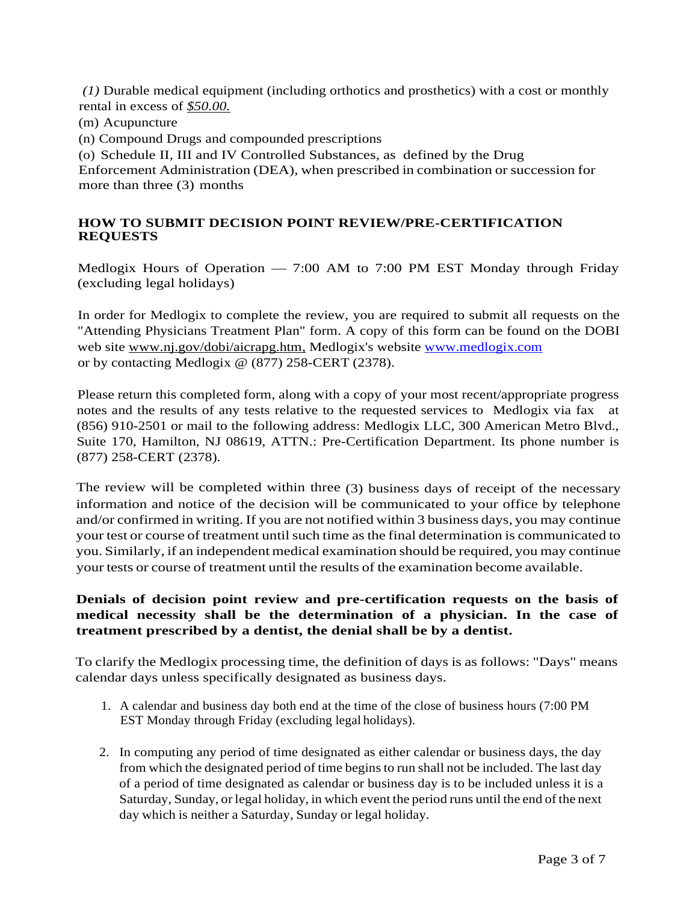*(1)* Durable medical equipment (including orthotics and prosthetics) with a cost or monthly rental in excess of *\$50.00.*

- (m) Acupuncture
- (n) Compound Drugs and compounded prescriptions

(o) Schedule II, III and IV Controlled Substances, as defined by the Drug

Enforcement Administration (DEA), when prescribed in combination or succession for more than three (3) months

## **HOW TO SUBMIT DECISION POINT REVIEW/PRE-CERTIFICATION REQUESTS**

Medlogix Hours of Operation — 7:00 AM to 7:00 PM EST Monday through Friday (excluding legal holidays)

In order for Medlogix to complete the review, you are required to submit all requests on the "Attending Physicians Treatment Plan" form. A copy of this form can be found on the DOBI web site [www.nj.gov/dobi/aicrapg.htm,](http://www.nj.gov/dobi/aicrapg.htm) Medlogix's website [www.medlogix.com](http://www.medlogix.com/) or by contacting Medlogix @ (877) 258-CERT (2378).

Please return this completed form, along with a copy of your most recent/appropriate progress notes and the results of any tests relative to the requested services to Medlogix via fax at (856) 910-2501 or mail to the following address: Medlogix LLC, 300 American Metro Blvd., Suite 170, Hamilton, NJ 08619, ATTN.: Pre-Certification Department. Its phone number is (877) 258-CERT (2378).

The review will be completed within three (3) business days of receipt of the necessary information and notice of the decision will be communicated to your office by telephone and/or confirmed in writing. If you are not notified within 3 business days, you may continue your test or course of treatment until such time as the final determination is communicated to you. Similarly, if an independent medical examination should be required, you may continue your tests or course of treatment until the results of the examination become available.

## **Denials of decision point review and pre-certification requests on the basis of medical necessity shall be the determination of a physician. In the case of treatment prescribed by a dentist, the denial shall be by a dentist.**

To clarify the Medlogix processing time, the definition of days is as follows: "Days" means calendar days unless specifically designated as business days.

- 1. A calendar and business day both end at the time of the close of business hours (7:00 PM EST Monday through Friday (excluding legal holidays).
- 2. In computing any period of time designated as either calendar or business days, the day from which the designated period of time beginsto run shall not be included. The last day of a period of time designated as calendar or business day is to be included unless it is a Saturday, Sunday, or legal holiday, in which event the period runs until the end of the next day which is neither a Saturday, Sunday or legal holiday.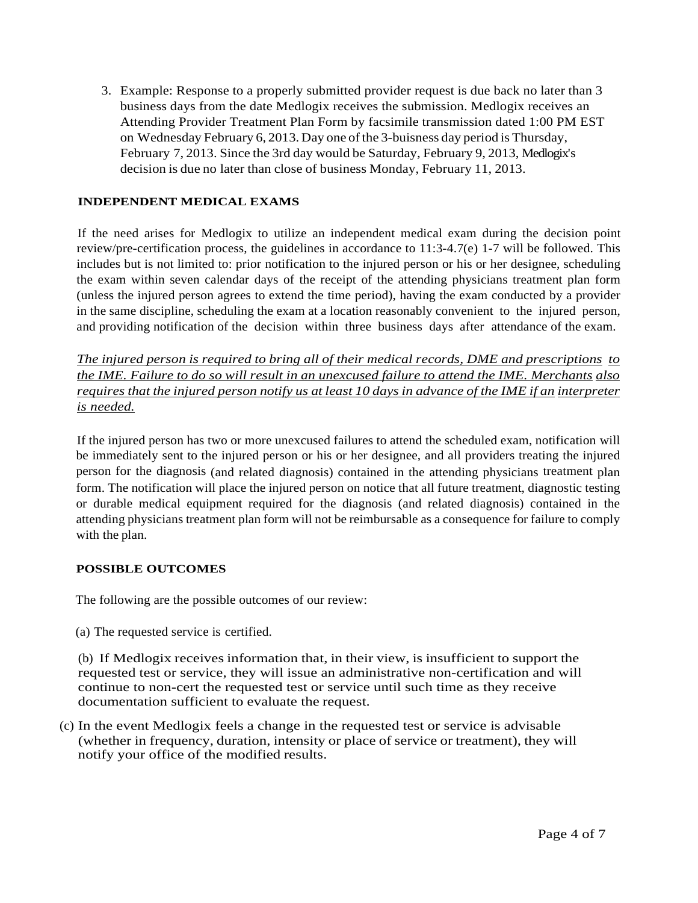3. Example: Response to a properly submitted provider request is due back no later than 3 business days from the date Medlogix receives the submission. Medlogix receives an Attending Provider Treatment Plan Form by facsimile transmission dated 1:00 PM EST on Wednesday February 6, 2013. Day one ofthe 3-buisness day period is Thursday, February 7, 2013. Since the 3rd day would be Saturday, February 9, 2013, Medlogix's decision is due no later than close of business Monday, February 11, 2013.

#### **INDEPENDENT MEDICAL EXAMS**

If the need arises for Medlogix to utilize an independent medical exam during the decision point review/pre-certification process, the guidelines in accordance to 11:3-4.7(e) 1-7 will be followed. This includes but is not limited to: prior notification to the injured person or his or her designee, scheduling the exam within seven calendar days of the receipt of the attending physicians treatment plan form (unless the injured person agrees to extend the time period), having the exam conducted by a provider in the same discipline, scheduling the exam at a location reasonably convenient to the injured person, and providing notification of the decision within three business days after attendance of the exam.

*The injured person is required to bring all of their medical records, DME and prescriptions to the IME. Failure to do so will result in an unexcused failure to attend the IME. Merchants also requires that the injured person notify us at least 10 days in advance of the IME if an interpreter is needed.*

If the injured person has two or more unexcused failures to attend the scheduled exam, notification will be immediately sent to the injured person or his or her designee, and all providers treating the injured person for the diagnosis (and related diagnosis) contained in the attending physicians treatment plan form. The notification will place the injured person on notice that all future treatment, diagnostic testing or durable medical equipment required for the diagnosis (and related diagnosis) contained in the attending physicians treatment plan form will not be reimbursable as a consequence for failure to comply with the plan.

#### **POSSIBLE OUTCOMES**

The following are the possible outcomes of our review:

(a) The requested service is certified.

(b) If Medlogix receives information that, in their view, is insufficient to support the requested test or service, they will issue an administrative non-certification and will continue to non-cert the requested test or service until such time as they receive documentation sufficient to evaluate the request.

(c) In the event Medlogix feels a change in the requested test or service is advisable (whether in frequency, duration, intensity or place of service or treatment), they will notify your office of the modified results.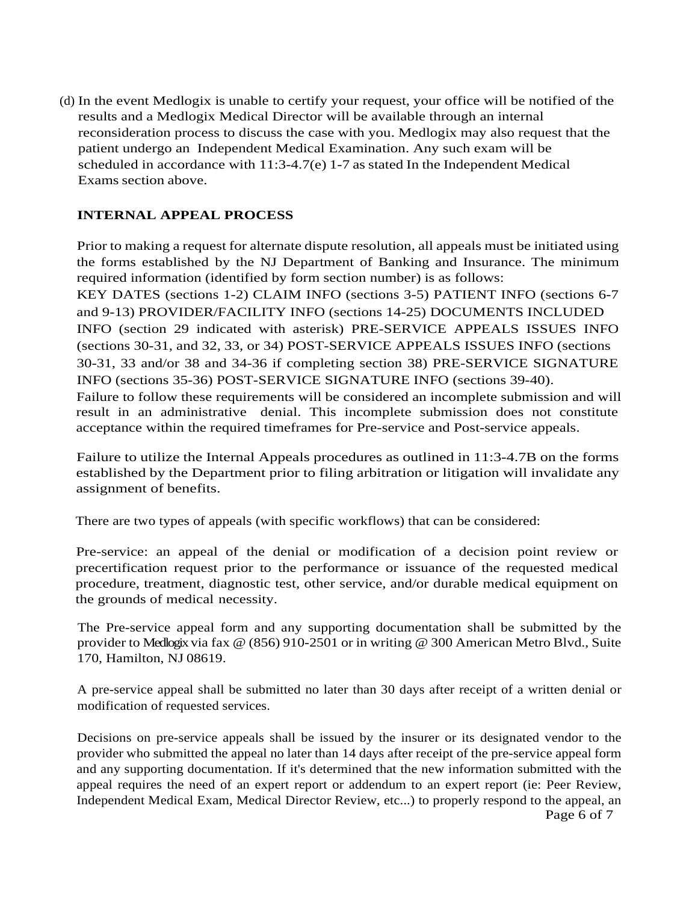(d) In the event Medlogix is unable to certify your request, your office will be notified of the results and a Medlogix Medical Director will be available through an internal reconsideration process to discuss the case with you. Medlogix may also request that the patient undergo an Independent Medical Examination. Any such exam will be scheduled in accordance with 11:3-4.7(e) 1-7 as stated In the Independent Medical Exams section above.

## **INTERNAL APPEAL PROCESS**

Prior to making a request for alternate dispute resolution, all appeals must be initiated using the forms established by the NJ Department of Banking and Insurance. The minimum required information (identified by form section number) is as follows: KEY DATES (sections 1-2) CLAIM INFO (sections 3-5) PATIENT INFO (sections 6-7 and 9-13) PROVIDER/FACILITY INFO (sections 14-25) DOCUMENTS INCLUDED INFO (section 29 indicated with asterisk) PRE-SERVICE APPEALS ISSUES INFO (sections 30-31, and 32, 33, or 34) POST-SERVICE APPEALS ISSUES INFO (sections 30-31, 33 and/or 38 and 34-36 if completing section 38) PRE-SERVICE SIGNATURE INFO (sections 35-36) POST-SERVICE SIGNATURE INFO (sections 39-40). Failure to follow these requirements will be considered an incomplete submission and will result in an administrative denial. This incomplete submission does not constitute acceptance within the required timeframes for Pre-service and Post-service appeals.

Failure to utilize the Internal Appeals procedures as outlined in 11:3-4.7B on the forms established by the Department prior to filing arbitration or litigation will invalidate any assignment of benefits.

There are two types of appeals (with specific workflows) that can be considered:

Pre-service: an appeal of the denial or modification of a decision point review or precertification request prior to the performance or issuance of the requested medical procedure, treatment, diagnostic test, other service, and/or durable medical equipment on the grounds of medical necessity.

The Pre-service appeal form and any supporting documentation shall be submitted by the provider to Medlogix via fax @ (856) 910-2501 or in writing @ 300 American Metro Blvd., Suite 170, Hamilton, NJ 08619.

A pre-service appeal shall be submitted no later than 30 days after receipt of a written denial or modification of requested services.

Decisions on pre-service appeals shall be issued by the insurer or its designated vendor to the provider who submitted the appeal no later than 14 days after receipt of the pre-service appeal form and any supporting documentation. If it's determined that the new information submitted with the appeal requires the need of an expert report or addendum to an expert report (ie: Peer Review, Independent Medical Exam, Medical Director Review, etc...) to properly respond to the appeal, an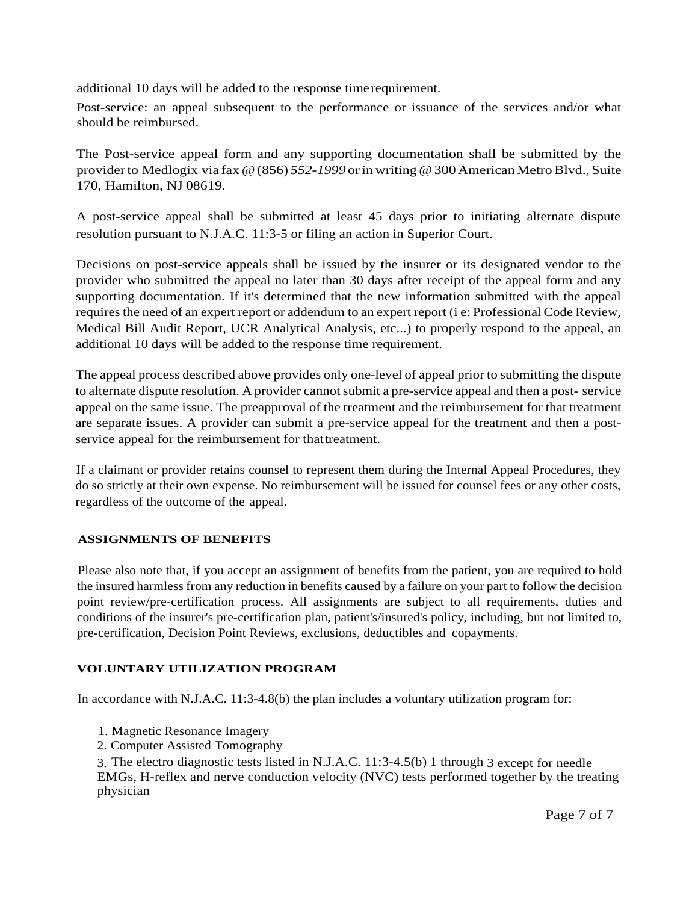additional 10 days will be added to the response timerequirement.

Post-service: an appeal subsequent to the performance or issuance of the services and/or what should be reimbursed.

The Post-service appeal form and any supporting documentation shall be submitted by the provider to Medlogix via fax @ (856) *552-1999* or in writing @ 300 American Metro Blvd., Suite 170, Hamilton, NJ 08619.

A post-service appeal shall be submitted at least 45 days prior to initiating alternate dispute resolution pursuant to N.J.A.C. 11:3-5 or filing an action in Superior Court.

Decisions on post-service appeals shall be issued by the insurer or its designated vendor to the provider who submitted the appeal no later than 30 days after receipt of the appeal form and any supporting documentation. If it's determined that the new information submitted with the appeal requires the need of an expert report or addendum to an expert report (i e: Professional Code Review, Medical Bill Audit Report, UCR Analytical Analysis, etc...) to properly respond to the appeal, an additional 10 days will be added to the response time requirement.

The appeal process described above provides only one-level of appeal prior to submitting the dispute to alternate dispute resolution. A provider cannot submit a pre-service appeal and then a post- service appeal on the same issue. The preapproval of the treatment and the reimbursement for that treatment are separate issues. A provider can submit a pre-service appeal for the treatment and then a postservice appeal for the reimbursement for thattreatment.

If a claimant or provider retains counsel to represent them during the Internal Appeal Procedures, they do so strictly at their own expense. No reimbursement will be issued for counsel fees or any other costs, regardless of the outcome of the appeal.

# **ASSIGNMENTS OF BENEFITS**

Please also note that, if you accept an assignment of benefits from the patient, you are required to hold the insured harmless from any reduction in benefits caused by a failure on your part to follow the decision point review/pre-certification process. All assignments are subject to all requirements, duties and conditions of the insurer's pre-certification plan, patient's/insured's policy, including, but not limited to, pre-certification, Decision Point Reviews, exclusions, deductibles and copayments.

### **VOLUNTARY UTILIZATION PROGRAM**

In accordance with N.J.A.C. 11:3-4.8(b) the plan includes a voluntary utilization program for:

- 1. Magnetic Resonance Imagery
- 2. Computer Assisted Tomography

3. The electro diagnostic tests listed in N.J.A.C. 11:3-4.5(b) 1 through 3 except for needle EMGs, H-reflex and nerve conduction velocity (NVC) tests performed together by the treating physician